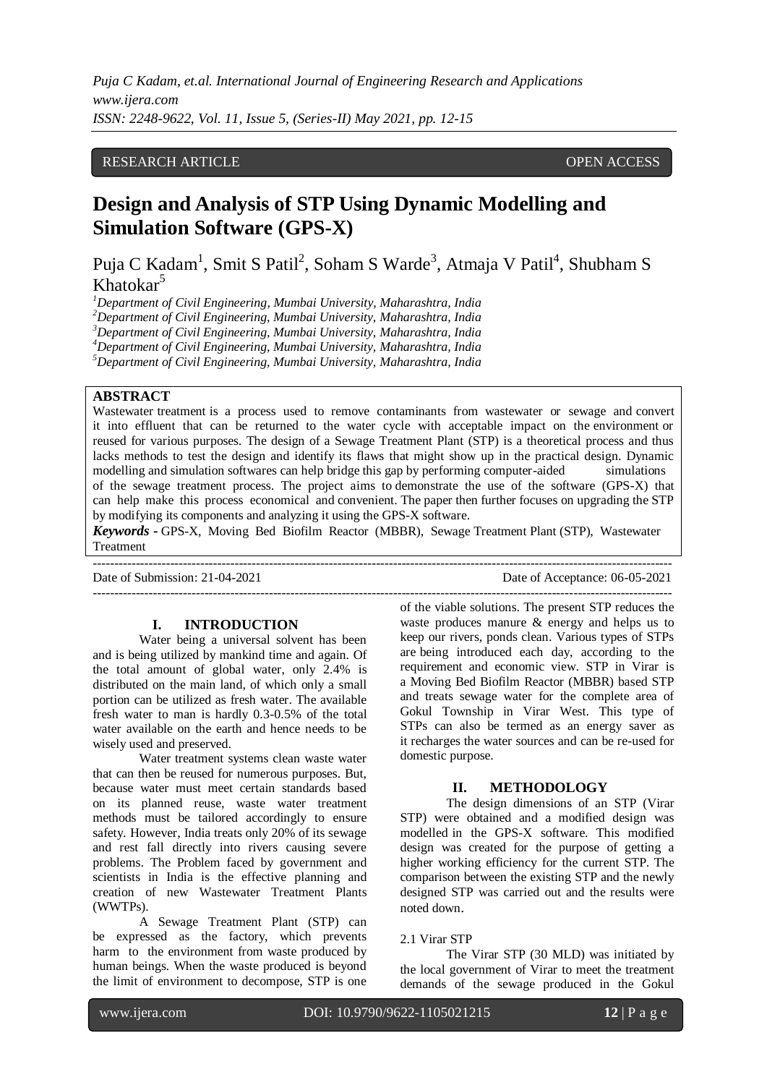## RESEARCH ARTICLE OPEN ACCESS

# **Design and Analysis of STP Using Dynamic Modelling and Simulation Software (GPS-X)**

Puja C Kadam<sup>1</sup>, Smit S Patil<sup>2</sup>, Soham S Warde<sup>3</sup>, Atmaja V Patil<sup>4</sup>, Shubham S  $Khatokar<sup>5</sup>$ 

*Department of Civil Engineering, Mumbai University, Maharashtra, India Department of Civil Engineering, Mumbai University, Maharashtra, India Department of Civil Engineering, Mumbai University, Maharashtra, India Department of Civil Engineering, Mumbai University, Maharashtra, India Department of Civil Engineering, Mumbai University, Maharashtra, India*

## **ABSTRACT**

Wastewater treatment is a process used to remove contaminants from wastewater or sewage and convert it into effluent that can be returned to the water cycle with acceptable impact on the environment or reused for various purposes. The design of a Sewage Treatment Plant (STP) is a theoretical process and thus lacks methods to test the design and identify its flaws that might show up in the practical design. Dynamic modelling and simulation softwares can help bridge this gap by performing computer-aided simulations of the sewage treatment process. The project aims to demonstrate the use of the software (GPS-X) that can help make this process economical and convenient. The paper then further focuses on upgrading the STP by modifying its components and analyzing it using the GPS-X software.

*Keywords* **-** GPS-X, Moving Bed Biofilm Reactor (MBBR), Sewage Treatment Plant (STP), Wastewater Treatment ---------------------------------------------------------------------------------------------------------------------------------------

---------------------------------------------------------------------------------------------------------------------------------------

Date of Submission: 21-04-2021 Date of Acceptance: 06-05-2021

#### **I. INTRODUCTION**

Water being a universal solvent has been and is being utilized by mankind time and again. Of the total amount of global water, only 2.4% is distributed on the main land, of which only a small portion can be utilized as fresh water. The available fresh water to man is hardly 0.3-0.5% of the total water available on the earth and hence needs to be wisely used and preserved.

Water treatment systems clean waste water that can then be reused for numerous purposes. But, because water must meet certain standards based on its planned reuse, waste water treatment methods must be tailored accordingly to ensure safety. However, India treats only 20% of its sewage and rest fall directly into rivers causing severe problems. The Problem faced by government and scientists in India is the effective planning and creation of new Wastewater Treatment Plants (WWTPs).

A Sewage Treatment Plant (STP) can be expressed as the factory, which prevents harm to the environment from waste produced by human beings. When the waste produced is beyond the limit of environment to decompose, STP is one

of the viable solutions. The present STP reduces the waste produces manure & energy and helps us to keep our rivers, ponds clean. Various types of STPs are being introduced each day, according to the requirement and economic view. STP in Virar is a Moving Bed Biofilm Reactor (MBBR) based STP and treats sewage water for the complete area of Gokul Township in Virar West. This type of STPs can also be termed as an energy saver as it recharges the water sources and can be re-used for domestic purpose.

### **II. METHODOLOGY**

The design dimensions of an STP (Virar STP) were obtained and a modified design was modelled in the GPS-X software. This modified design was created for the purpose of getting a higher working efficiency for the current STP. The comparison between the existing STP and the newly designed STP was carried out and the results were noted down.

#### 2.1 Virar STP

The Virar STP (30 MLD) was initiated by the local government of Virar to meet the treatment demands of the sewage produced in the Gokul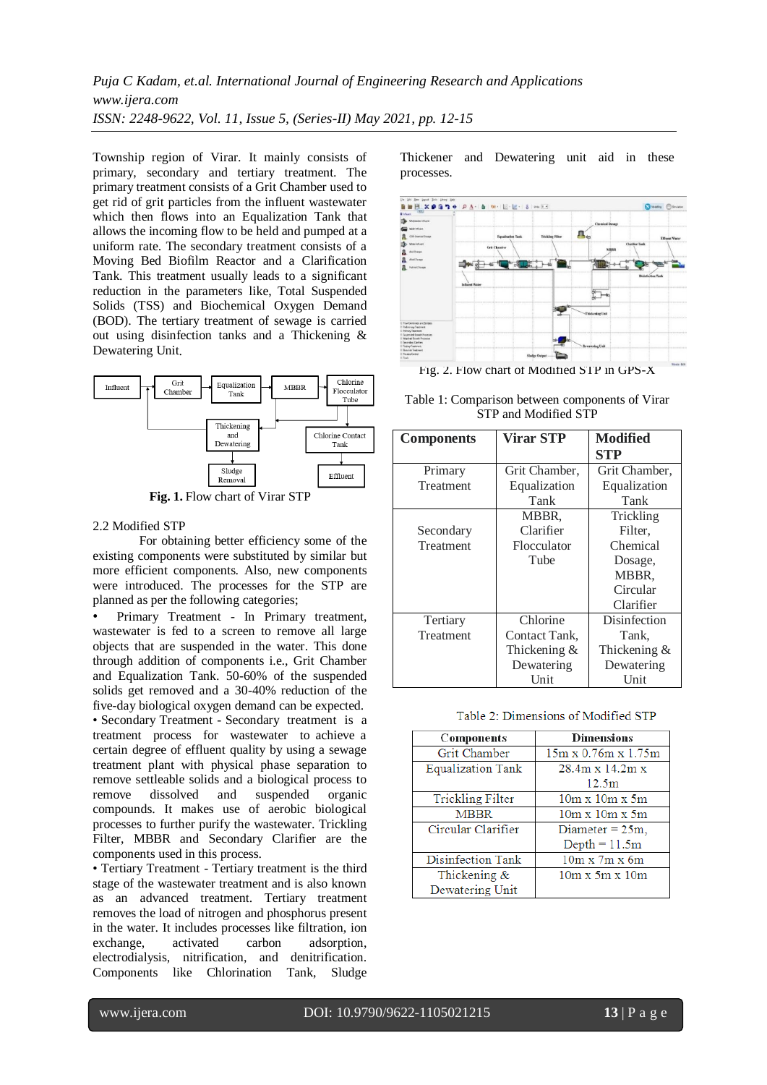*Puja C Kadam, et.al. International Journal of Engineering Research and Applications www.ijera.com ISSN: 2248-9622, Vol. 11, Issue 5, (Series-II) May 2021, pp. 12-15*

Township region of Virar. It mainly consists of primary, secondary and tertiary treatment. The primary treatment consists of a Grit Chamber used to get rid of grit particles from the influent wastewater which then flows into an Equalization Tank that allows the incoming flow to be held and pumped at a uniform rate. The secondary treatment consists of a Moving Bed Biofilm Reactor and a Clarification Tank. This treatment usually leads to a significant reduction in the parameters like, Total Suspended Solids (TSS) and Biochemical Oxygen Demand (BOD). The tertiary treatment of sewage is carried out using disinfection tanks and a Thickening & Dewatering Unit.



**Fig. 1.** Flow chart of Virar STP

#### 2.2 Modified STP

For obtaining better efficiency some of the existing components were substituted by similar but more efficient components. Also, new components were introduced. The processes for the STP are planned as per the following categories;

• Primary Treatment - In Primary treatment, wastewater is fed to a screen to remove all large objects that are suspended in the water. This done through addition of components i.e., Grit Chamber and Equalization Tank. 50-60% of the suspended solids get removed and a 30-40% reduction of the five-day biological oxygen demand can be expected. • Secondary Treatment - Secondary treatment is a treatment process for wastewater to achieve a certain degree of effluent quality by using a sewage treatment plant with physical phase separation to remove settleable solids and a biological process to remove dissolved and suspended organic compounds. It makes use of aerobic biological processes to further purify the wastewater. Trickling Filter, MBBR and Secondary Clarifier are the

• Tertiary Treatment - Tertiary treatment is the third stage of the wastewater treatment and is also known as an advanced treatment. Tertiary treatment removes the load of nitrogen and phosphorus present in the water. It includes processes like filtration, ion exchange, activated carbon adsorption, electrodialysis, nitrification, and denitrification. Components like Chlorination Tank, Sludge

Thickener and Dewatering unit aid in these processes.



Table 1: Comparison between components of Virar STP and Modified STP

| <b>Components</b> | <b>Virar STP</b> | <b>Modified</b><br><b>STP</b> |
|-------------------|------------------|-------------------------------|
| Primary           | Grit Chamber,    | Grit Chamber,                 |
| Treatment         | Equalization     | Equalization                  |
|                   | Tank             | Tank                          |
|                   | MBBR.            | Trickling                     |
| Secondary         | Clarifier        | Filter,                       |
| Treatment         | Flocculator      | Chemical                      |
|                   | Tube             | Dosage,                       |
|                   |                  | MBBR,                         |
|                   |                  | Circular                      |
|                   |                  | Clarifier                     |
| Tertiary          | Chlorine         | Disinfection                  |
| Treatment         | Contact Tank.    | Tank,                         |
|                   | Thickening $&$   | Thickening $&$                |
|                   | Dewatering       | Dewatering                    |
|                   | Unit             | Unit                          |

#### Table 2: Dimensions of Modified STP

| Components              | <b>Dimensions</b>               |  |  |
|-------------------------|---------------------------------|--|--|
| Grit Chamber            | $15m \times 0.76m \times 1.75m$ |  |  |
| Equalization Tank       | $28.4m \times 14.2m \times$     |  |  |
|                         | 12.5 <sub>m</sub>               |  |  |
| <b>Trickling Filter</b> | $10m \times 10m \times 5m$      |  |  |
| <b>MBBR</b>             | $10m \times 10m \times 5m$      |  |  |
| Circular Clarifier      | Diameter $= 25m$ ,              |  |  |
|                         | $Depth = 11.5m$                 |  |  |
| Disinfection Tank       | $10m \times 7m \times 6m$       |  |  |
| Thickening $&$          | $10m \times 5m \times 10m$      |  |  |
| Dewatering Unit         |                                 |  |  |

components used in this process.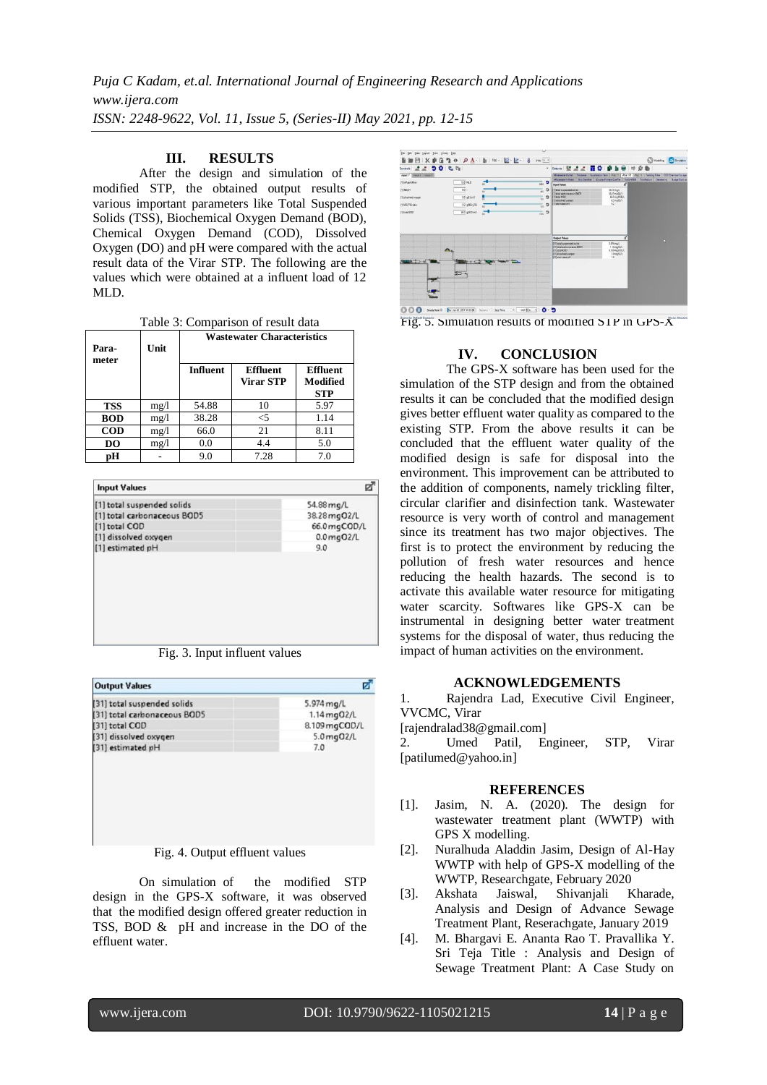*Puja C Kadam, et.al. International Journal of Engineering Research and Applications www.ijera.com ISSN: 2248-9622, Vol. 11, Issue 5, (Series-II) May 2021, pp. 12-15*

## **III. RESULTS**

After the design and simulation of the modified STP, the obtained output results of various important parameters like Total Suspended Solids (TSS), Biochemical Oxygen Demand (BOD), Chemical Oxygen Demand (COD), Dissolved Oxygen (DO) and pH were compared with the actual result data of the Virar STP. The following are the values which were obtained at a influent load of 12 MLD.

Table 3: Comparison of result data

| Para-<br>meter | Unit | <b>Wastewater Characteristics</b> |                                     |                                           |
|----------------|------|-----------------------------------|-------------------------------------|-------------------------------------------|
|                |      | <b>Influent</b>                   | <b>Effluent</b><br><b>Virar STP</b> | <b>Effluent</b><br>Modified<br><b>STP</b> |
| <b>TSS</b>     | mg/1 | 54.88                             | 10                                  | 5.97                                      |
| <b>BOD</b>     | mg/1 | 38.28                             | $<$ 5                               | 1.14                                      |
| <b>COD</b>     | mg/1 | 66.0                              | 21                                  | 8.11                                      |
| DO             | mg/1 | 0.0                               | 4.4                                 | 5.0                                       |
| рH             |      | 9.0                               | 7.28                                | 7.0                                       |

| 54.88 mg/L    |
|---------------|
|               |
| 38.28 mg 02/L |
| 66.0 mgCOD/L  |
| 0.0 mg 02/L   |
| 9.0           |
|               |
|               |
|               |

Fig. 3. Input influent values

| <b>Output Values</b>           |                         |
|--------------------------------|-------------------------|
| [31] total suspended solids    | $5.974 \,\mathrm{mg/L}$ |
| [31] total carbonaceous BOD5   | 1.14 mg02/L             |
| [31] total COD                 | 8.109 mgCOD/L           |
| [31] dissolved oxygen          | $5.0$ mg $02/L$         |
| [31] estimated pH              | 7.0                     |
|                                |                         |
|                                |                         |
| Fig. 4. Output effluent values |                         |

On simulation of the modified STP design in the GPS-X software, it was observed that the modified design offered greater reduction in TSS, BOD & pH and increase in the DO of the effluent water.



Fig. 5. Simulation results of modified STP in GPS-X

## **IV. CONCLUSION**

The GPS-X software has been used for the simulation of the STP design and from the obtained results it can be concluded that the modified design gives better effluent water quality as compared to the existing STP. From the above results it can be concluded that the effluent water quality of the modified design is safe for disposal into the environment. This improvement can be attributed to the addition of components, namely trickling filter, circular clarifier and disinfection tank. Wastewater resource is very worth of control and management since its treatment has two major objectives. The first is to protect the environment by reducing the pollution of fresh water resources and hence reducing the health hazards. The second is to activate this available water resource for mitigating water scarcity. Softwares like GPS-X can be instrumental in designing better water treatment systems for the disposal of water, thus reducing the impact of human activities on the environment.

#### **ACKNOWLEDGEMENTS**

1. Rajendra Lad, Executive Civil Engineer, VVCMC, Virar

[rajendralad38@gmail.com]

2. Umed Patil, Engineer, STP, Virar [patilumed@yahoo.in]

#### **REFERENCES**

- [1]. Jasim, N. A. (2020). The design for wastewater treatment plant (WWTP) with GPS X modelling.
- [2]. Nuralhuda Aladdin Jasim, Design of Al-Hay WWTP with help of GPS-X modelling of the WWTP, Researchgate, February 2020
- [3]. Akshata Jaiswal, Shivanjali Kharade, Analysis and Design of Advance Sewage Treatment Plant, Reserachgate, January 2019
- [4]. M. Bhargavi E. Ananta Rao T. Pravallika Y. Sri Teja Title : Analysis and Design of Sewage Treatment Plant: A Case Study on